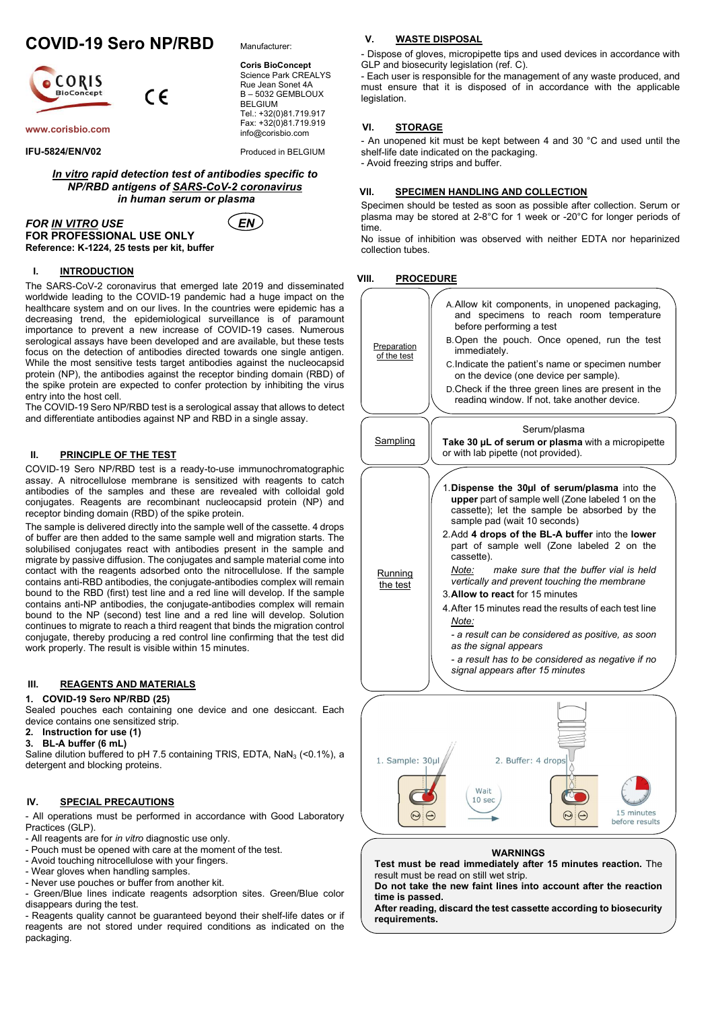# COVID-19 Sero NP/RBD

 $\epsilon$ 



www.corisbio.com

IFU-5824/EN/V02

Manufacturer:

Coris BioConcept Science Park CREALYS Rue Jean Sonet 4A B – 5032 GEMBLOUX BELGIUM Tel.: +32(0)81.719.917 Fax: +32(0)81.719.919 info@corisbio.com

Produced in BELGIUM

# In vitro rapid detection test of antibodies specific to NP/RBD antigens of SARS-CoV-2 coronavirus in human serum or plasma



FOR <u>IN VITRO</u> USE  $(EN)$ FOR PROFESSIONAL USE ONLY Reference: K-1224, 25 tests per kit, buffer

## I. INTRODUCTION

The SARS-CoV-2 coronavirus that emerged late 2019 and disseminated worldwide leading to the COVID-19 pandemic had a huge impact on the healthcare system and on our lives. In the countries were epidemic has a decreasing trend, the epidemiological surveillance is of paramount importance to prevent a new increase of COVID-19 cases. Numerous serological assays have been developed and are available, but these tests focus on the detection of antibodies directed towards one single antigen. While the most sensitive tests target antibodies against the nucleocapsid protein (NP), the antibodies against the receptor binding domain (RBD) of the spike protein are expected to confer protection by inhibiting the virus entry into the host cell.

The COVID-19 Sero NP/RBD test is a serological assay that allows to detect and differentiate antibodies against NP and RBD in a single assay.

# II. PRINCIPLE OF THE TEST

COVID-19 Sero NP/RBD test is a ready-to-use immunochromatographic assay. A nitrocellulose membrane is sensitized with reagents to catch antibodies of the samples and these are revealed with colloidal gold conjugates. Reagents are recombinant nucleocapsid protein (NP) and receptor binding domain (RBD) of the spike protein.

The sample is delivered directly into the sample well of the cassette. 4 drops of buffer are then added to the same sample well and migration starts. The solubilised conjugates react with antibodies present in the sample and migrate by passive diffusion. The conjugates and sample material come into contact with the reagents adsorbed onto the nitrocellulose. If the sample contains anti-RBD antibodies, the conjugate-antibodies complex will remain bound to the RBD (first) test line and a red line will develop. If the sample contains anti-NP antibodies, the conjugate-antibodies complex will remain bound to the NP (second) test line and a red line will develop. Solution continues to migrate to reach a third reagent that binds the migration control conjugate, thereby producing a red control line confirming that the test did work properly. The result is visible within 15 minutes.

# III. REAGENTS AND MATERIALS

#### 1. COVID-19 Sero NP/RBD (25)

Sealed pouches each containing one device and one desiccant. Each device contains one sensitized strip.

- 2. Instruction for use (1)
- 3. BL-A buffer (6 mL)

Saline dilution buffered to pH 7.5 containing TRIS, EDTA,  $NaN<sub>3</sub>$  (<0.1%), a detergent and blocking proteins.

## IV. SPECIAL PRECAUTIONS

- All operations must be performed in accordance with Good Laboratory Practices (GLP).

- All reagents are for in vitro diagnostic use only.
- Pouch must be opened with care at the moment of the test.
- Avoid touching nitrocellulose with your fingers.
- Wear gloves when handling samples.
- Never use pouches or buffer from another kit.

- Green/Blue lines indicate reagents adsorption sites. Green/Blue color disappears during the test.

- Reagents quality cannot be guaranteed beyond their shelf-life dates or if reagents are not stored under required conditions as indicated on the packaging.

#### V. WASTE DISPOSAL

- Dispose of gloves, micropipette tips and used devices in accordance with GLP and biosecurity legislation (ref. C).

- Each user is responsible for the management of any waste produced, and must ensure that it is disposed of in accordance with the applicable legislation.

#### VI. STORAGE

- An unopened kit must be kept between 4 and 30 °C and used until the shelf-life date indicated on the packaging. - Avoid freezing strips and buffer.

#### VII. SPECIMEN HANDLING AND COLLECTION

Specimen should be tested as soon as possible after collection. Serum or plasma may be stored at 2-8°C for 1 week or -20°C for longer periods of time.

No issue of inhibition was observed with neither EDTA nor heparinized collection tubes.

## VIII. PROCEDURE



#### **WARNINGS**

Wait  $10<sub>sec</sub>$ 

 $\Theta$ 

Test must be read immediately after 15 minutes reaction. The result must be read on still wet strip.

15 minutes

before results

 $\Theta$ 

Do not take the new faint lines into account after the reaction time is passed.

After reading, discard the test cassette according to biosecurity requirements.